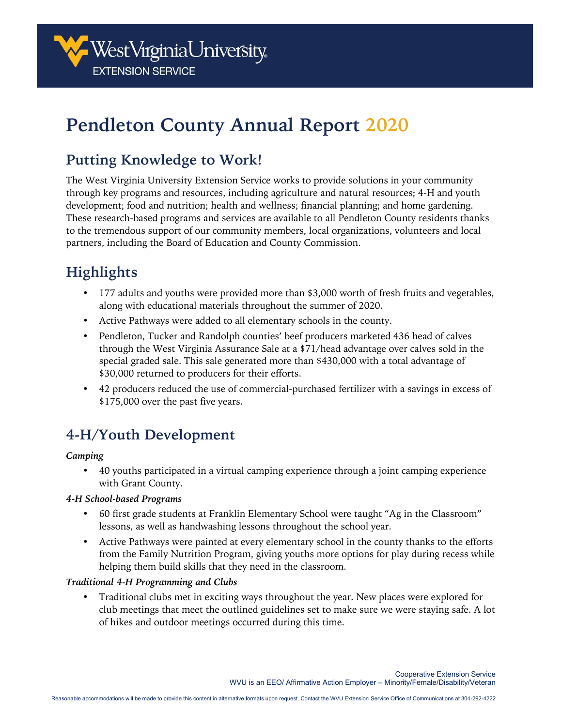

# **Pendleton County Annual Report 2020**

## **Putting Knowledge to Work!**

The West Virginia University Extension Service works to provide solutions in your community through key programs and resources, including agriculture and natural resources; 4-H and youth development; food and nutrition; health and wellness; financial planning; and home gardening. These research-based programs and services are available to all Pendleton County residents thanks to the tremendous support of our community members, local organizations, volunteers and local partners, including the Board of Education and County Commission.

## **Highlights**

- 177 adults and youths were provided more than \$3,000 worth of fresh fruits and vegetables, along with educational materials throughout the summer of 2020.
- Active Pathways were added to all elementary schools in the county.
- Pendleton, Tucker and Randolph counties' beef producers marketed 436 head of calves through the West Virginia Assurance Sale at a \$71/head advantage over calves sold in the special graded sale. This sale generated more than \$430,000 with a total advantage of \$30,000 returned to producers for their efforts.
- 42 producers reduced the use of commercial-purchased fertilizer with a savings in excess of \$175,000 over the past five years.

## **4-H/Youth Development**

#### *Camping*

• 40 youths participated in a virtual camping experience through a joint camping experience with Grant County.

#### *4-H School-based Programs*

- 60 first grade students at Franklin Elementary School were taught "Ag in the Classroom" lessons, as well as handwashing lessons throughout the school year.
- Active Pathways were painted at every elementary school in the county thanks to the efforts from the Family Nutrition Program, giving youths more options for play during recess while helping them build skills that they need in the classroom.

#### *Traditional 4-H Programming and Clubs*

• Traditional clubs met in exciting ways throughout the year. New places were explored for club meetings that meet the outlined guidelines set to make sure we were staying safe. A lot of hikes and outdoor meetings occurred during this time.